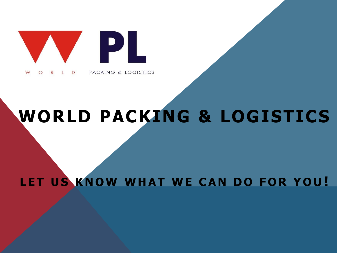

### **WORLD PACKING & LOGISTICS**

LET US KNOW WHAT WE CAN DO FOR YOU!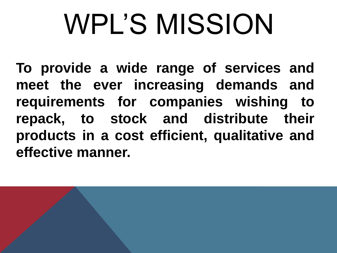# WPL'S MISSION

**To provide a wide range of services and meet the ever increasing demands and requirements for companies wishing to repack, to stock and distribute their products in a cost efficient, qualitative and effective manner.**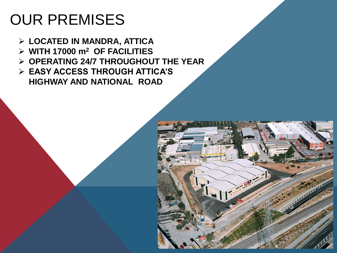### OUR PREMISES

- **LOCATED IN MANDRA, ATTICA**
- **WITH 17000 m<sup>2</sup> OF FACILITIES**
- **OPERATING 24/7 THROUGHOUT THE YEAR**
- **EASY ACCESS THROUGH ATTICA'S HIGHWAY AND NATIONAL ROAD**

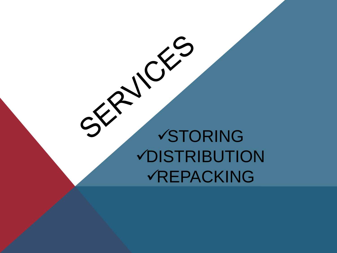### STORING DISTRIBUTION REPACKING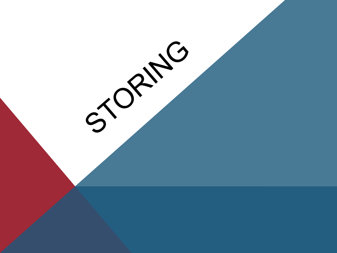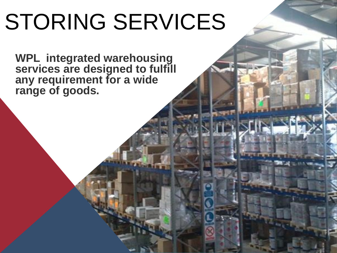**WPL integrated warehousing services are designed to fulfill any requirement for a wide range of goods.**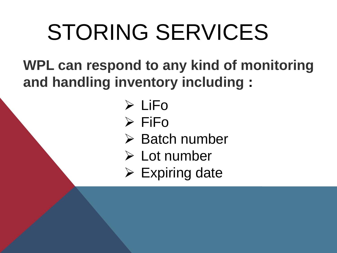**WPL can respond to any kind of monitoring and handling inventory including :**

- $\triangleright$  LiFo
- $\triangleright$  FiFo
- $\triangleright$  Batch number
- Lot number
- $\triangleright$  Expiring date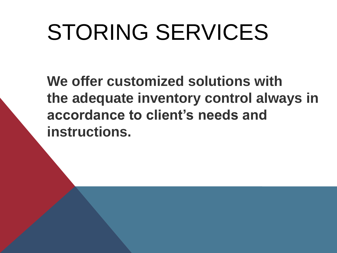**We offer customized solutions with the adequate inventory control always in accordance to client's needs and instructions.**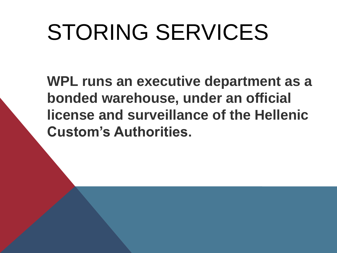**WPL runs an executive department as a bonded warehouse, under an official license and surveillance of the Hellenic Custom's Authorities.**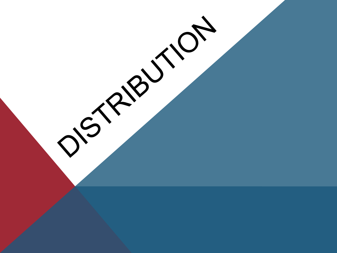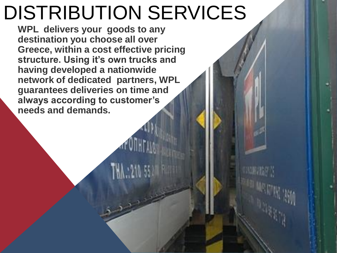### DISTRIBUTION SERVICES

**WPL delivers your goods to any destination you choose all over Greece, within a cost effective pricing structure. Using it's own trucks and having developed a nationwide network of dedicated partners, WPL guarantees deliveries on time and always according to customer's needs and demands.**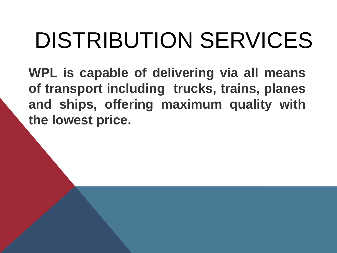## DISTRIBUTION SERVICES

**WPL is capable of delivering via all means of transport including trucks, trains, planes and ships, offering maximum quality with the lowest price.**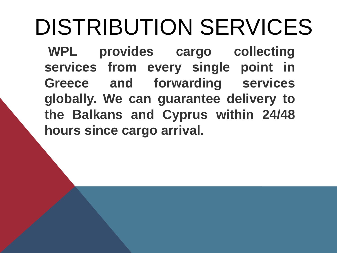## DISTRIBUTION SERVICES

**WPL provides cargo collecting services from every single point in Greece and forwarding services globally. We can guarantee delivery to the Balkans and Cyprus within 24/48 hours since cargo arrival.**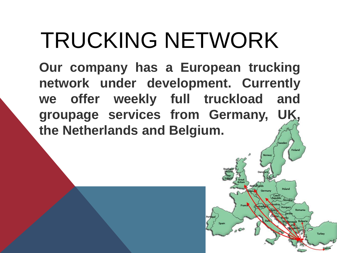## TRUCKING NETWORK

**Our company has a European trucking network under development. Currently we offer weekly full truckload and groupage services from Germany, UK, the Netherlands and Belgium.**

Finland

Romania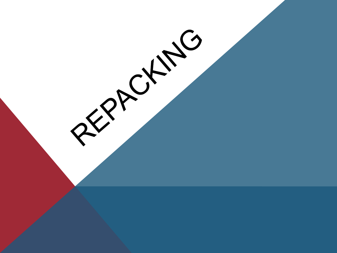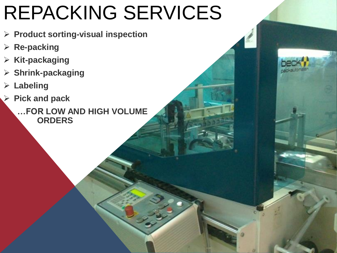### REPACKING SERVICES

- **Product sorting-visual inspection**
- **Re-packing**
- **Kit-packaging**
- **Shrink-packaging**
- **Labeling**
- **Pick and pack**
	- **…FOR LOW AND HIGH VOLUME ORDERS**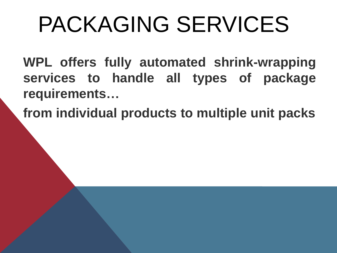## PACKAGING SERVICES

**WPL offers fully automated shrink-wrapping services to handle all types of package requirements…**

**from individual products to multiple unit packs**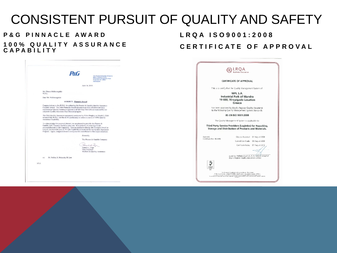### CONSISTENT PURSUIT OF QUALITY AND SAFETY

#### **P&G PINNACLE AWARD 1 0 0 % Q U A L I T Y A S S U R A N C E C A P A B I L I T Y**

**P&G** June 14, 2010 Mr. Dimus Melisourgakis<br>W.P.L. Dear Mr. Melisourgakis: SUBJECT: Pinnacle Award Congratulations to the W.P.L. for achieving the Procter & Gamble Quality Assurance<br>Pinnacle Award. The P&G Pinnacle Award demonstrates fully effective and fully implemented Quality Assurance systems in all QA Key Elements as measured by our corporate Quality Assurance Systems in all QA Key Elements as measured by our The P&G Quality Assurance assessment conducted by Colin Bingley on March 3, 2010<br>revealed that W.P.L. met the all 8's proficiency to achieve a score of 100% Quality Assurance Canability, To acknowledge this accomplishment, we are pleased to provide this Procter & Gamble QAC Pinnaele Award to your site. It is symbolic of your significant<br>accomplishments in QA Capability. You are entitled to display this Pinnacle Award as<br>long as you maintain your all 8's QA Capability as measured by Program. Again, congratulations to everyone who contributed to this major milestone. Sincerely, The Procter & Gamble Company Panish Rye Pamela L. Page<br>Vice President Worldwide Quality Assurance cc: M. Politis, R. Schmalz, M. Lee 8713

#### **L R Q A I S O 9 0 0 1 : 2 0 0 8 CERTIFICATE OF APPROVAL**

|                                                                                                                  | LROA<br>ess Assurance                                                                                                                                                                                                                |
|------------------------------------------------------------------------------------------------------------------|--------------------------------------------------------------------------------------------------------------------------------------------------------------------------------------------------------------------------------------|
| <b>CERTIFICATE OF APPROVAL</b>                                                                                   |                                                                                                                                                                                                                                      |
|                                                                                                                  | This is to certify that the Quality Management System of:                                                                                                                                                                            |
| WPL S.A.<br><b>Industrial Park of Mandra</b><br>19 600, Xiropigado Location<br>Greece                            |                                                                                                                                                                                                                                      |
| has been approved by Lloyd's Register Quality Assurance<br>to the following Quality Management System Standards: |                                                                                                                                                                                                                                      |
|                                                                                                                  | BS EN ISO 9001:2008                                                                                                                                                                                                                  |
|                                                                                                                  | The Quality Management System is applicable to:                                                                                                                                                                                      |
| Third Party Service Providers (Logistics) for Repacking.<br>Storage and Distribution of Products and Materials.  |                                                                                                                                                                                                                                      |
| Approva<br>Certificate No: 362495                                                                                | Criginal Approval: 07 August 2006                                                                                                                                                                                                    |
|                                                                                                                  | Current Certificate: 08 August 2009<br>Cert ficate Expiry:<br>07 August 2012                                                                                                                                                         |
|                                                                                                                  | ssued by: Hellenic Lloyd's S. A. for and on behalf of                                                                                                                                                                                |
|                                                                                                                  | Lloyd's Register Quality Assurance Limited                                                                                                                                                                                           |
|                                                                                                                  | in its statement is additionally a transport on the research of the state.<br>The courts Seed, London FCAM 4RS United Kingdon, Passagion numerii 189931.<br>The Site Bill Construction on Research in Bankers and the country and th |
|                                                                                                                  |                                                                                                                                                                                                                                      |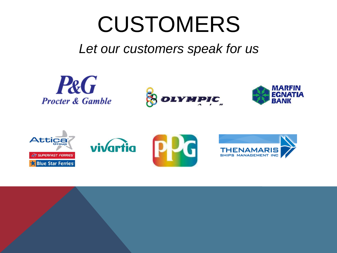## CUSTOMERS

### *[Let ou](http://www.pg.com/en_US/index.shtml)r customers speak for us*









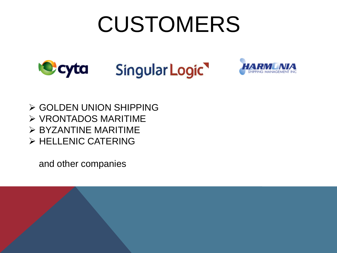## CUSTOMERS





 GOLDEN UNION SHIPPING  $\triangleright$  VRONTADOS MARITIME  $\triangleright$  BYZANTINE MARITIME  $\triangleright$  HELLENIC CATERING

and other companies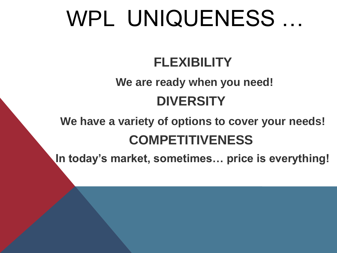### WPL UNIQUENESS …

### **FLEXIBILITY**

### **We are ready when you need! DIVERSITY**

### **We have a variety of options to cover your needs! COMPETITIVENESS**

**In today's market, sometimes… price is everything!**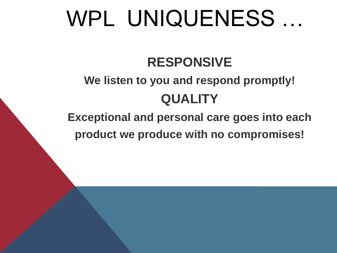### WPL UNIQUENESS …

### **RESPONSIVE**

### **We listen to you and respond promptly! QUALITY**

**Exceptional and personal care goes into each product we produce with no compromises!**